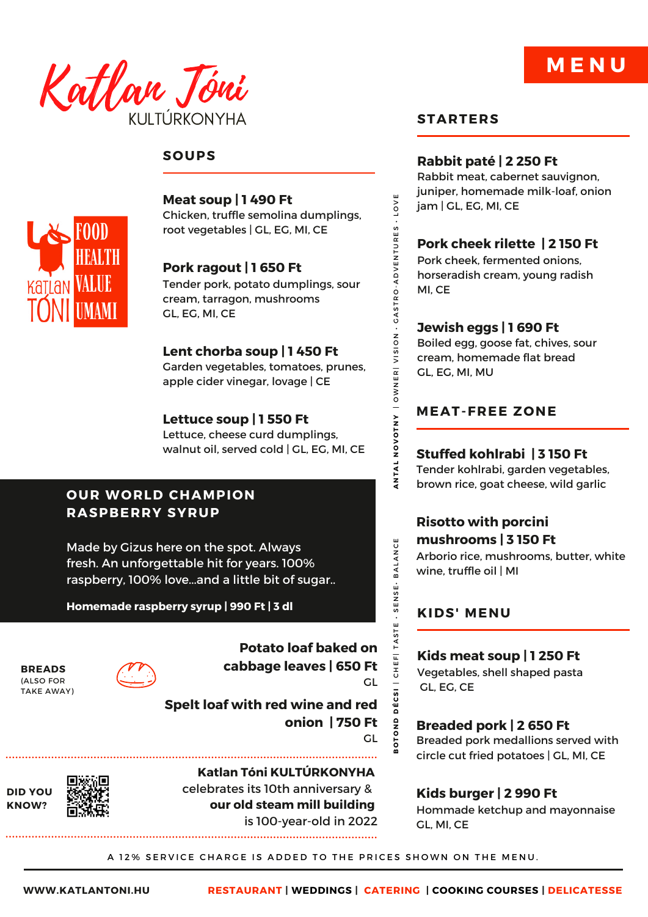

## **SOUPS**



**Meat soup | 1 490 Ft** Chicken, truffle semolina dumplings, root vegetables | GL, EG, MI, CE

**Pork ragout | 1 650 Ft** Tender pork, potato dumplings, sour cream, tarragon, mushrooms GL, EG, MI, CE

# **Lent chorba soup | 1 450 Ft**

Garden vegetables, tomatoes, prunes, apple cider vinegar, lovage | CE

## **Lettuce soup | 1 550 Ft**

Lettuce, cheese curd dumplings, walnut oil, served cold | GL, EG, MI, CE

## **OUR WORLD CHAMPION RASPBERRY SYRUP**

Made by Gizus here on the spot. Always fresh. An unforgettable hit for years. 100% raspberry, 100% love...and a little bit of sugar..

**Homemade raspberry syrup | 990 Ft | 3 dl**

**BREADS** (ALSO FOR TAKE AWAY)

**DID YOU KNOW?**



**Potato loaf baked on cabbage leaves | 650 Ft** GL

**Spelt loaf with red wine and red onion | 750 Ft**

**Katlan Tóni KULTÚRKONYHA** celebrates its 10th anniversary & **our old steam mill building** is 100-year-old in 2022

#### **STARTERS**

#### **Rabbit paté | 2 250 Ft**

Rabbit meat, cabernet sauvignon, juniper, homemade milk-loaf, onion jam | GL, EG, MI, CE

**M E N U**

## **Pork cheek rilette | 2 150 Ft**

Pork cheek, fermented onions, horseradish cream, young radish MI, CE

#### **Jewish eggs | 1 690 Ft**

Boiled egg, goose fat, chives, sour cream, homemade flat bread GL, EG, MI, MU

## **MEAT-FREE ZONE**

**Stuffed kohlrabi | 3 150 Ft**

Tender kohlrabi, garden vegetables, brown rice, goat cheese, wild garlic

## **Risotto with porcini mushrooms | 3 150 Ft**

Arborio rice, mushrooms, butter, white wine, truffle oil | MI

#### **KIDS' MENU**

**Kids meat soup | 1 250 Ft** Vegetables, shell shaped pasta GL, EG, CE

**Breaded pork | 2 650 Ft** Breaded pork medallions served with circle cut fried potatoes | GL, MI, CE

## **Kids burger | 2 990 Ft**

Hommade ketchup and mayonnaise GL, MI, CE

A 12% SERVICE CHARGE IS ADDED TO THE PRICES SHOWN ON THE MENU.

GL

**B**<br>B<br> **B** 

**DÉCSI** 

UNICOND DÉCSIRO-ALONIVISTRIVISTRIVISTRI VOTNOVOTNI ANTAL ANTAL BALANCE<br>BOND DE SIRO-ALONIVISTRIVISTRIVISTRI VOTNOVOTNI ANTAL ANTAL BALANCE

ANTAL

**BALANCE** 

SENSE-

TASTE

CHEF

NOVOTNY | OWNER| VISION

LOVE

GASTRO-ADVENTURES

m: